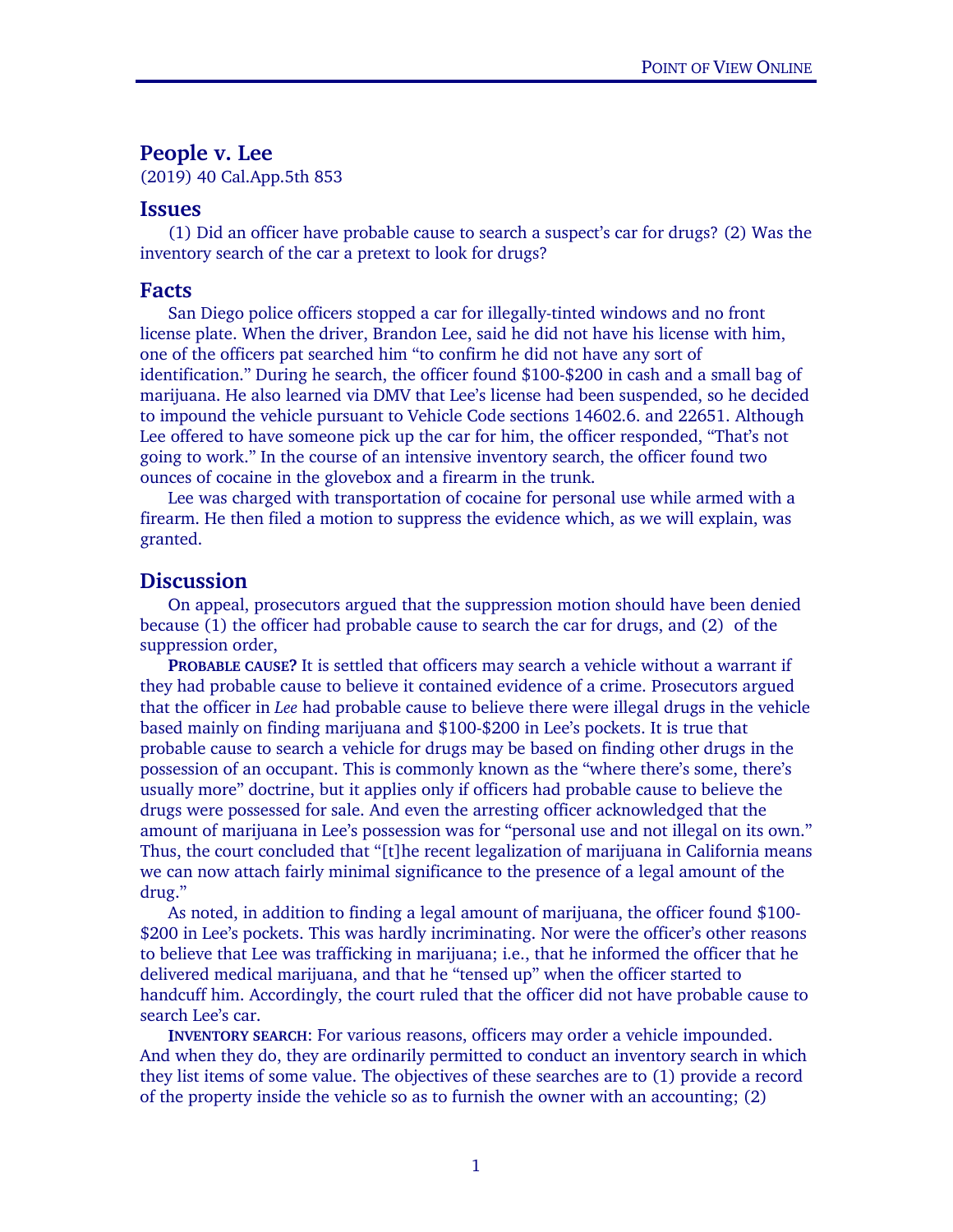## **People v. Lee**

(2019) 40 Cal.App.5th 853

## **Issues**

(1) Did an officer have probable cause to search a suspect's car for drugs? (2) Was the inventory search of the car a pretext to look for drugs?

## **Facts**

San Diego police officers stopped a car for illegally-tinted windows and no front license plate. When the driver, Brandon Lee, said he did not have his license with him, one of the officers pat searched him "to confirm he did not have any sort of identification." During he search, the officer found \$100-\$200 in cash and a small bag of marijuana. He also learned via DMV that Lee's license had been suspended, so he decided to impound the vehicle pursuant to Vehicle Code sections 14602.6. and 22651. Although Lee offered to have someone pick up the car for him, the officer responded, "That's not going to work." In the course of an intensive inventory search, the officer found two ounces of cocaine in the glovebox and a firearm in the trunk.

Lee was charged with transportation of cocaine for personal use while armed with a firearm. He then filed a motion to suppress the evidence which, as we will explain, was granted.

## **Discussion**

On appeal, prosecutors argued that the suppression motion should have been denied because (1) the officer had probable cause to search the car for drugs, and (2) of the suppression order,

**PROBABLE CAUSE?** It is settled that officers may search a vehicle without a warrant if they had probable cause to believe it contained evidence of a crime. Prosecutors argued that the officer in *Lee* had probable cause to believe there were illegal drugs in the vehicle based mainly on finding marijuana and \$100-\$200 in Lee's pockets. It is true that probable cause to search a vehicle for drugs may be based on finding other drugs in the possession of an occupant. This is commonly known as the "where there's some, there's usually more" doctrine, but it applies only if officers had probable cause to believe the drugs were possessed for sale. And even the arresting officer acknowledged that the amount of marijuana in Lee's possession was for "personal use and not illegal on its own." Thus, the court concluded that "[t]he recent legalization of marijuana in California means we can now attach fairly minimal significance to the presence of a legal amount of the drug."

As noted, in addition to finding a legal amount of marijuana, the officer found \$100- \$200 in Lee's pockets. This was hardly incriminating. Nor were the officer's other reasons to believe that Lee was trafficking in marijuana; i.e., that he informed the officer that he delivered medical marijuana, and that he "tensed up" when the officer started to handcuff him. Accordingly, the court ruled that the officer did not have probable cause to search Lee's car.

**INVENTORY SEARCH**: For various reasons, officers may order a vehicle impounded. And when they do, they are ordinarily permitted to conduct an inventory search in which they list items of some value. The objectives of these searches are to (1) provide a record of the property inside the vehicle so as to furnish the owner with an accounting; (2)